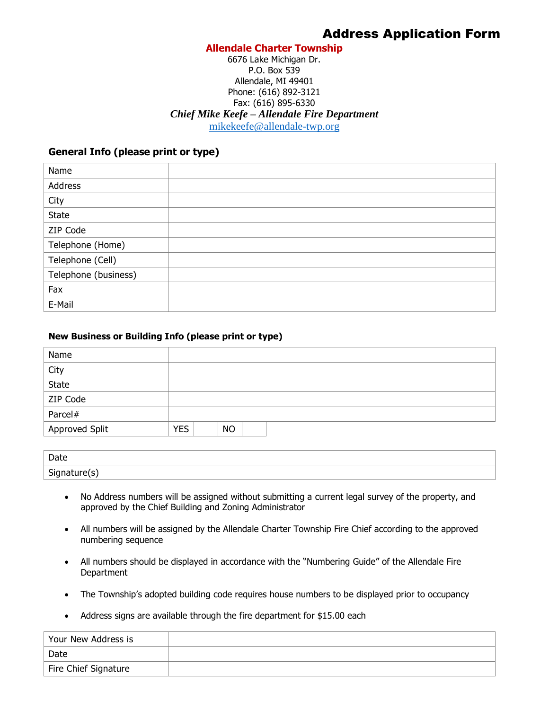# **Allendale Charter Township**

## 6676 Lake Michigan Dr. P.O. Box 539 Allendale, MI 49401 Phone: (616) 892-3121 Fax: (616) 895-6330 *Chief Mike Keefe – Allendale Fire Department* [mikekeefe@allendale-twp.org](mailto:mikekeefe@allendale-twp.org)

# **General Info (please print or type)**

| Name                 |  |
|----------------------|--|
| Address              |  |
| City                 |  |
| State                |  |
| ZIP Code             |  |
| Telephone (Home)     |  |
| Telephone (Cell)     |  |
| Telephone (business) |  |
| Fax                  |  |
| E-Mail               |  |

#### **New Business or Building Info (please print or type)**

| Name           |                         |
|----------------|-------------------------|
| City<br>State  |                         |
|                |                         |
| ZIP Code       |                         |
| Parcel#        |                         |
| Approved Split | <b>YES</b><br><b>NO</b> |

| Date                                             |  |
|--------------------------------------------------|--|
| $\sim$<br>$\cdots$<br>$\sim$ 11 FeV<br>71<br>פי- |  |

- No Address numbers will be assigned without submitting a current legal survey of the property, and approved by the Chief Building and Zoning Administrator
- All numbers will be assigned by the Allendale Charter Township Fire Chief according to the approved numbering sequence
- All numbers should be displayed in accordance with the "Numbering Guide" of the Allendale Fire **Department**
- The Township's adopted building code requires house numbers to be displayed prior to occupancy
- Address signs are available through the fire department for \$15.00 each

| Your New Address is  |  |
|----------------------|--|
| Date                 |  |
| Fire Chief Signature |  |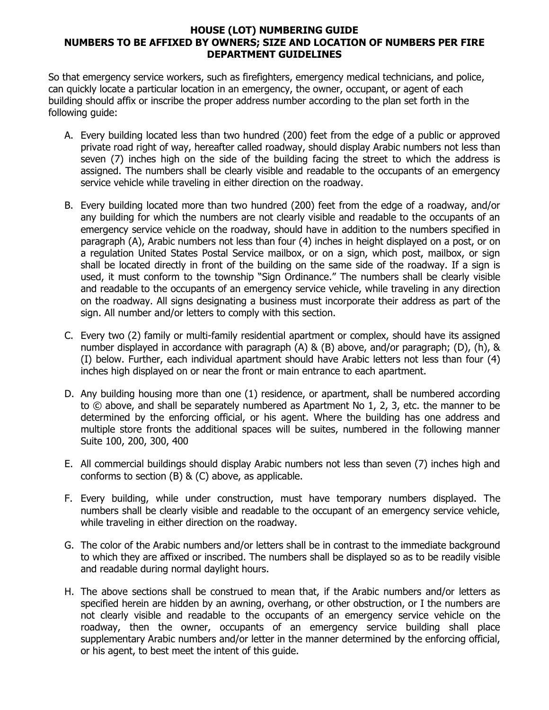# **HOUSE (LOT) NUMBERING GUIDE NUMBERS TO BE AFFIXED BY OWNERS; SIZE AND LOCATION OF NUMBERS PER FIRE DEPARTMENT GUIDELINES**

So that emergency service workers, such as firefighters, emergency medical technicians, and police, can quickly locate a particular location in an emergency, the owner, occupant, or agent of each building should affix or inscribe the proper address number according to the plan set forth in the following guide:

- A. Every building located less than two hundred (200) feet from the edge of a public or approved private road right of way, hereafter called roadway, should display Arabic numbers not less than seven (7) inches high on the side of the building facing the street to which the address is assigned. The numbers shall be clearly visible and readable to the occupants of an emergency service vehicle while traveling in either direction on the roadway.
- B. Every building located more than two hundred (200) feet from the edge of a roadway, and/or any building for which the numbers are not clearly visible and readable to the occupants of an emergency service vehicle on the roadway, should have in addition to the numbers specified in paragraph (A), Arabic numbers not less than four (4) inches in height displayed on a post, or on a regulation United States Postal Service mailbox, or on a sign, which post, mailbox, or sign shall be located directly in front of the building on the same side of the roadway. If a sign is used, it must conform to the township "Sign Ordinance." The numbers shall be clearly visible and readable to the occupants of an emergency service vehicle, while traveling in any direction on the roadway. All signs designating a business must incorporate their address as part of the sign. All number and/or letters to comply with this section.
- C. Every two (2) family or multi-family residential apartment or complex, should have its assigned number displayed in accordance with paragraph (A) & (B) above, and/or paragraph; (D), (h), & (I) below. Further, each individual apartment should have Arabic letters not less than four (4) inches high displayed on or near the front or main entrance to each apartment.
- D. Any building housing more than one (1) residence, or apartment, shall be numbered according to © above, and shall be separately numbered as Apartment No 1, 2, 3, etc. the manner to be determined by the enforcing official, or his agent. Where the building has one address and multiple store fronts the additional spaces will be suites, numbered in the following manner Suite 100, 200, 300, 400
- E. All commercial buildings should display Arabic numbers not less than seven (7) inches high and conforms to section (B) & (C) above, as applicable.
- F. Every building, while under construction, must have temporary numbers displayed. The numbers shall be clearly visible and readable to the occupant of an emergency service vehicle, while traveling in either direction on the roadway.
- G. The color of the Arabic numbers and/or letters shall be in contrast to the immediate background to which they are affixed or inscribed. The numbers shall be displayed so as to be readily visible and readable during normal daylight hours.
- H. The above sections shall be construed to mean that, if the Arabic numbers and/or letters as specified herein are hidden by an awning, overhang, or other obstruction, or I the numbers are not clearly visible and readable to the occupants of an emergency service vehicle on the roadway, then the owner, occupants of an emergency service building shall place supplementary Arabic numbers and/or letter in the manner determined by the enforcing official, or his agent, to best meet the intent of this guide.